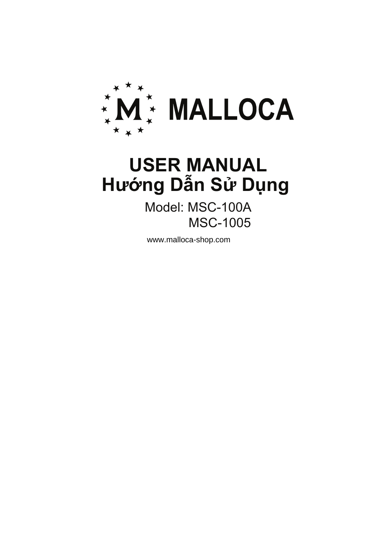

# **Hướng Dẫn Sử Dụng USER MANUAL**

Model: MSC-100A MSC-1005

www.malloca-shop.com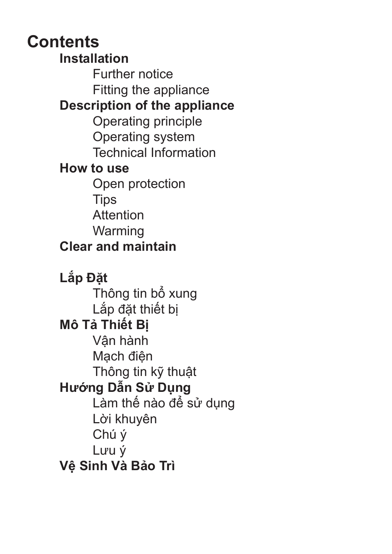### **Contents**

**Installation**  Further notice Fitting the appliance **Description of the appliance**  Operating principle Operating system Technical Information **How to use** Open protection **Tips**  Attention Warming **Clear and maintain Lắp Đặt**  Thông tin bổ xung Lắp đặt thiết bị **Mô Tả Thiết Bị**  Vận hành Mạch điện Thông tin kỹ thuật **Hướng Dẫn Sử Dụng** Làm thế nào để sử dụng Lời khuyên Chú ý Lưu ý **Vệ Sinh Và Bảo Trì**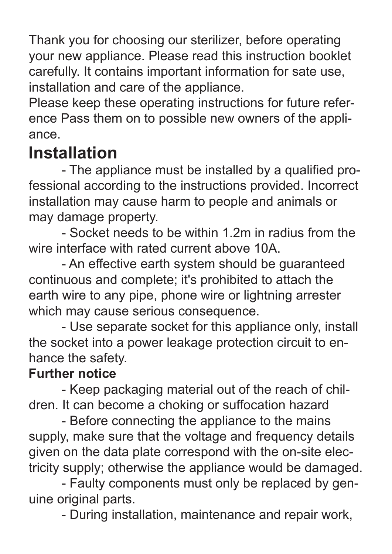Thank you for choosing our sterilizer, before operating your new appliance. Please read this instruction booklet carefully. It contains important information for sate use, installation and care of the appliance.

Please keep these operating instructions for future reference Pass them on to possible new owners of the appliance.

### **Installation**

 - The appliance must be installed by a qualified professional according to the instructions provided. Incorrect installation may cause harm to people and animals or may damage property.

 - Socket needs to be within 1.2m in radius from the wire interface with rated current above 10A.

 - An effective earth system should be guaranteed continuous and complete; it's prohibited to attach the earth wire to any pipe, phone wire or lightning arrester which may cause serious consequence.

 - Use separate socket for this appliance only, install the socket into a power leakage protection circuit to enhance the safety.

#### **Further notice**

 - Keep packaging material out of the reach of children. It can become a choking or suffocation hazard

 - Before connecting the appliance to the mains supply, make sure that the voltage and frequency details given on the data plate correspond with the on-site electricity supply; otherwise the appliance would be damaged.

 - Faulty components must only be replaced by genuine original parts.

- During installation, maintenance and repair work,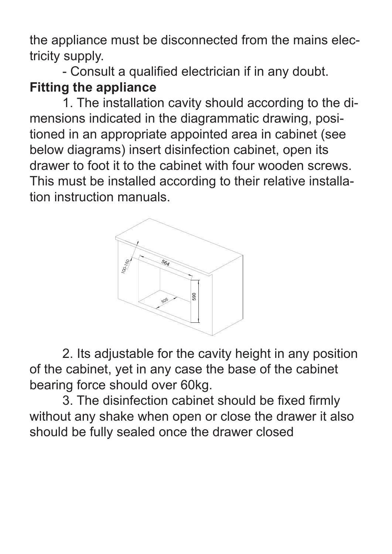the appliance must be disconnected from the mains electricity supply.

 - Consult a qualified electrician if in any doubt. **Fitting the appliance** 

 1. The installation cavity should according to the dimensions indicated in the diagrammatic drawing, positioned in an appropriate appointed area in cabinet (see below diagrams) insert disinfection cabinet, open its drawer to foot it to the cabinet with four wooden screws. This must be installed according to their relative installation instruction manuals.



 2. Its adjustable for the cavity height in any position of the cabinet, yet in any case the base of the cabinet bearing force should over 60kg.

 3. The disinfection cabinet should be fixed firmly without any shake when open or close the drawer it also should be fully sealed once the drawer closed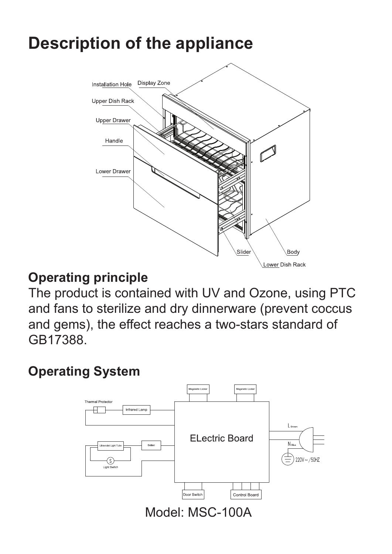## **Description of the appliance**



#### **Operating principle**

The product is contained with UV and Ozone, using PTC and fans to sterilize and dry dinnerware (prevent coccus and gems), the effect reaches a two-stars standard of GB17388.

### **Operating System**

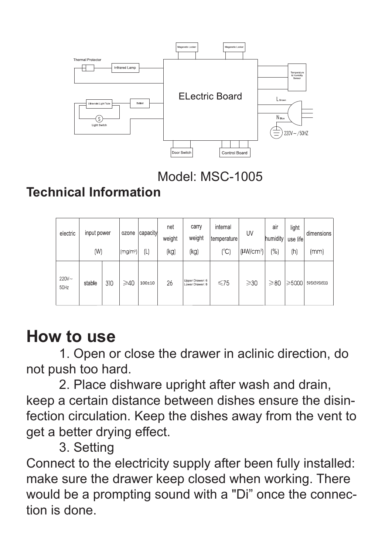

Model: MSC-1005

### **Technical Information**

| electric         | input power |     | ozone                | capacity   | net<br>weight | carry<br>weight                    | internal<br>temperature | UV                    | air<br>humidity | light<br>use life | dimensions  |
|------------------|-------------|-----|----------------------|------------|---------------|------------------------------------|-------------------------|-----------------------|-----------------|-------------------|-------------|
|                  | (W)         |     | (mg/m <sup>3</sup> ) | (L         | (kg)          | (kg)                               | (°C)                    | (HW/cm <sup>2</sup> ) | (%)             | (h)               | (mm)        |
| $220V -$<br>50Hz | stable      | 310 | $\geqslant$ 40       | $100\pm10$ | 26            | Upper Drawer: 6<br>Lower Drawer: 8 | $\leq 75$               | $\geqslant$ 30        | $\geqslant$ 80  | $\geq 5000$       | 595X595X500 |

### **How to use**

 1. Open or close the drawer in aclinic direction, do not push too hard.

 2. Place dishware upright after wash and drain, keep a certain distance between dishes ensure the disinfection circulation. Keep the dishes away from the vent to get a better drying effect.

3. Setting

Connect to the electricity supply after been fully installed: make sure the drawer keep closed when working. There would be a prompting sound with a "Di" once the connection is done.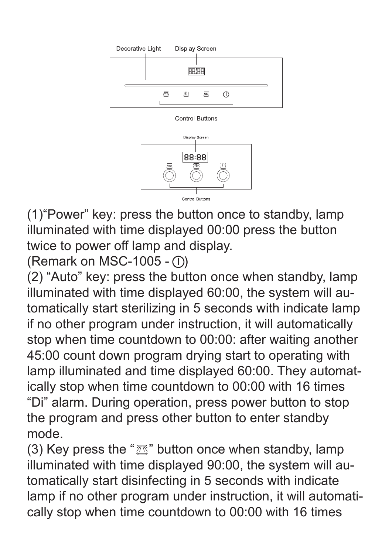



(1)"Power" key: press the button once to standby, lamp illuminated with time displayed 00:00 press the button twice to power off lamp and display.

(Remark on MSC-1005 -  $\circ$ )

(2) "Auto" key: press the button once when standby, lamp illuminated with time displayed 60:00, the system will automatically start sterilizing in 5 seconds with indicate lamp if no other program under instruction, it will automatically stop when time countdown to 00:00: after waiting another 45:00 count down program drying start to operating with lamp illuminated and time displayed 60:00. They automatically stop when time countdown to 00:00 with 16 times "Di" alarm. During operation, press power button to stop the program and press other button to enter standby mode.

(3) Key press the " $\mathbb{Z}$ " button once when standby, lamp illuminated with time displayed 90:00, the system will automatically start disinfecting in 5 seconds with indicate lamp if no other program under instruction, it will automatically stop when time countdown to 00:00 with 16 times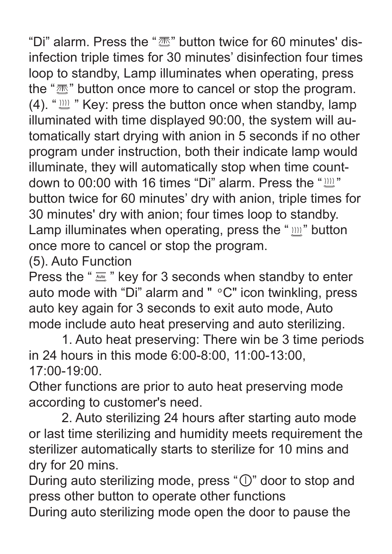"Di" alarm. Press the " $\overline{\mathbb{Z}}$ " button twice for 60 minutes' disinfection triple times for 30 minutes' disinfection four times loop to standby, Lamp illuminates when operating, press the " $\mathbb{Z}$ " button once more to cancel or stop the program.  $(4)$ . " $\sum_{m=1}^{\infty}$ " Key: press the button once when standby, lamp illuminated with time displayed 90:00, the system will automatically start drying with anion in 5 seconds if no other program under instruction, both their indicate lamp would illuminate, they will automatically stop when time countdown to 00:00 with 16 times "Di" alarm. Press the " $\text{m}$ " button twice for 60 minutes' dry with anion, triple times for 30 minutes' dry with anion; four times loop to standby. Lamp illuminates when operating, press the " $m$ " button once more to cancel or stop the program.

(5). Auto Function

Press the " $\frac{7}{200}$ " key for 3 seconds when standby to enter auto mode with "Di" alarm and "  $\circ$ C" icon twinkling, press auto key again for 3 seconds to exit auto mode, Auto mode include auto heat preserving and auto sterilizing.

 1. Auto heat preserving: There win be 3 time periods in 24 hours in this mode 6:00-8:00, 11:00-13:00, 17:00-19:00.

Other functions are prior to auto heat preserving mode according to customer's need.

 2. Auto sterilizing 24 hours after starting auto mode or last time sterilizing and humidity meets requirement the sterilizer automatically starts to sterilize for 10 mins and dry for 20 mins.

During auto sterilizing mode, press " $\mathbb{O}$ " door to stop and press other button to operate other functions

During auto sterilizing mode open the door to pause the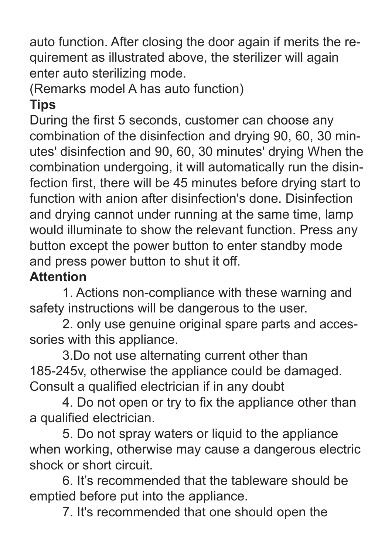auto function. After closing the door again if merits the requirement as illustrated above, the sterilizer will again enter auto sterilizing mode.

### (Remarks model A has auto function)

### **Tips**

During the first 5 seconds, customer can choose any combination of the disinfection and drying 90, 60, 30 minutes' disinfection and 90, 60, 30 minutes' drying When the combination undergoing, it will automatically run the disinfection first, there will be 45 minutes before drying start to function with anion after disinfection's done. Disinfection and drying cannot under running at the same time, lamp would illuminate to show the relevant function. Press any button except the power button to enter standby mode and press power button to shut it off.

#### **Attention**

 1. Actions non-compliance with these warning and safety instructions will be dangerous to the user.

 2. only use genuine original spare parts and accessories with this appliance.

 3.Do not use alternating current other than 185-245v, otherwise the appliance could be damaged. Consult a qualified electrician if in any doubt

 4. Do not open or try to fix the appliance other than a qualified electrician.

 5. Do not spray waters or liquid to the appliance when working, otherwise may cause a dangerous electric shock or short circuit.

 6. It's recommended that the tableware should be emptied before put into the appliance.

7. It's recommended that one should open the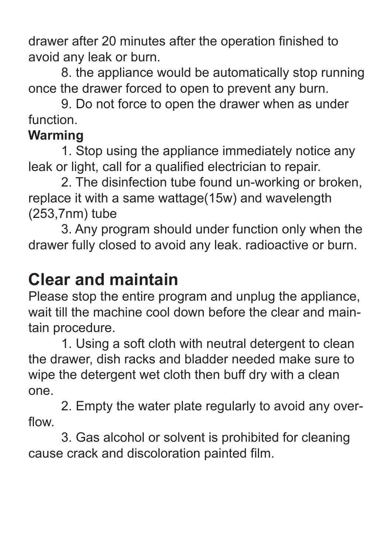drawer after 20 minutes after the operation finished to avoid any leak or burn.

 8. the appliance would be automatically stop running once the drawer forced to open to prevent any burn.

 9. Do not force to open the drawer when as under function.

#### **Warming**

 1. Stop using the appliance immediately notice any leak or light, call for a qualified electrician to repair.

 2. The disinfection tube found un-working or broken, replace it with a same wattage(15w) and wavelength (253,7nm) tube

 3. Any program should under function only when the drawer fully closed to avoid any leak. radioactive or burn.

### **Clear and maintain**

Please stop the entire program and unplug the appliance, wait till the machine cool down before the clear and maintain procedure.

 1. Using a soft cloth with neutral detergent to clean the drawer, dish racks and bladder needed make sure to wipe the detergent wet cloth then buff dry with a clean one.

 2. Empty the water plate regularly to avoid any overflow.

 3. Gas alcohol or solvent is prohibited for cleaning cause crack and discoloration painted film.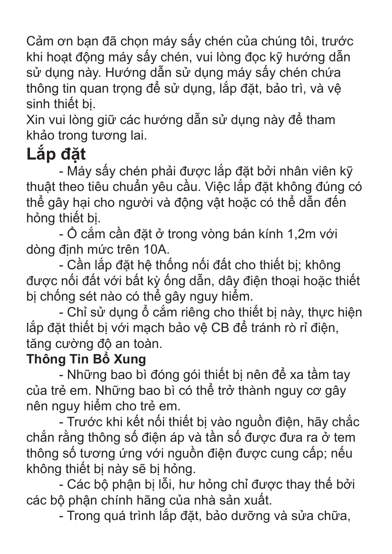Cảm ơn bạn đã chọn máy sấy chén của chúng tôi, trước khi hoạt động máy sấy chén, vui lòng đọc kỹ hướng dẫn sử dụng này. Hướng dẫn sử dụng máy sấy chén chứa thông tin quan trong để sử dụng, lắp đặt, bảo trì, và vê sinh thiết bị.

Xin vui lòng giữ các hướng dẫn sử dụng này để tham khảo trong tương lai.

# **Lắp đặt**

 - Máy sấy chén phải được lắp đặt bởi nhân viên kỹ thuật theo tiêu chuẩn yêu cầu. Việc lắp đặt không đúng có thể gây hại cho người và động vật hoặc có thể dẫn đến hỏng thiết bị.

 - Ổ cắm cần đặt ở trong vòng bán kính 1,2m với dòng định mức trên 10A.

 - Cần lắp đặt hệ thống nối đất cho thiết bị; không được nối đất với bất kỳ ống dẫn, dây điện thoại hoặc thiết bị chống sét nào có thể gây nguy hiểm.

 - Chỉ sử dụng ổ cắm riêng cho thiết bị này, thực hiện lắp đặt thiết bị với mạch bảo vệ CB để tránh rò rỉ điện, tăng cường độ an toàn.

### **Thông Tin Bổ Xung**

 - Những bao bì đóng gói thiết bị nên để xa tầm tay của trẻ em. Những bao bì có thể trở thành nguy cơ gây nên nguy hiểm cho trẻ em.

 - Trước khi kết nối thiết bị vào nguồn điện, hãy chắc chắn rằng thông số điện áp và tần số được đưa ra ở tem thông số tương ứng với nguồn điện được cung cấp; nếu không thiết bị này sẽ bị hỏng.

 - Các bộ phận bị lỗi, hư hỏng chỉ được thay thế bởi các bộ phận chính hãng của nhà sản xuất.

- Trong quá trình lắp đặt, bảo dưỡng và sửa chữa,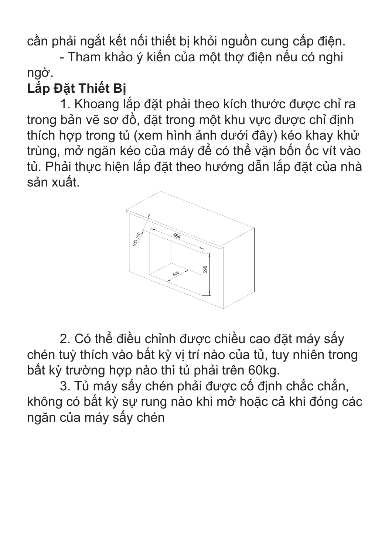cần phải ngắt kết nối thiết bị khỏi nguồn cung cấp điện.

 - Tham khảo ý kiến của một thợ điện nếu có nghi ngờ.

### **Lắp Đặt Thiết Bị**

 1. Khoang lắp đặt phải theo kích thước được chỉ ra trong bản vẽ sơ đồ, đặt trong một khu vực được chỉ định thích hợp trong tủ (xem hình ảnh dưới đây) kéo khay khử trùng, mở ngăn kéo của máy để có thể vặn bốn ốc vít vào tủ. Phải thực hiện lắp đặt theo hướng dẫn lắp đặt của nhà sản xuất.



 2. Có thể điều chỉnh được chiều cao đặt máy sấy chén tuỳ thích vào bất kỳ vị trí nào của tủ, tuy nhiên trong bất kỳ trường hợp nào thì tủ phải trên 60kg.

 3. Tủ máy sấy chén phải được cố định chắc chắn, không có bất kỳ sự rung nào khi mở hoặc cả khi đóng các ngăn của máy sấy chén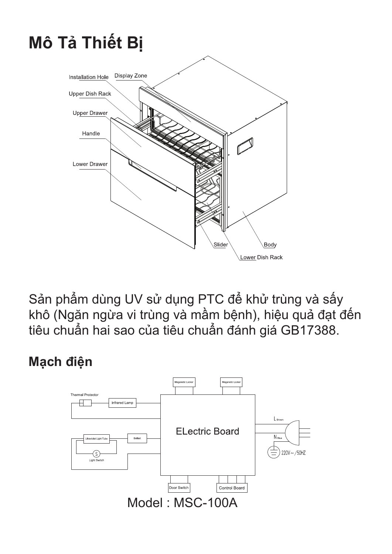# **Mô Tả Thiết Bị**



Sản phẩm dùng UV sử dụng PTC để khử trùng và sấy khô (Ngăn ngừa vi trùng và mầm bệnh), hiệu quả đạt đến tiêu chuẩn hai sao của tiêu chuẩn đánh giá GB17388.

#### **Mạch điện**

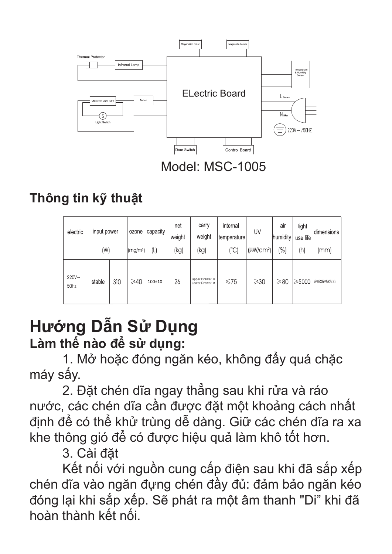

### **Thông tin kỹ thuật**

| electric         | input power<br>(W) |     | ozone<br>(mg/m <sup>3</sup> ) | capacity<br>(L | net<br>weight<br>(kg) | carry<br>weight<br>(kg)            | internal<br>temperature<br>(C) | UV<br>(HW/cm <sup>2</sup> ) | air<br>humidity<br>$\binom{0}{0}$ | light<br>use life<br>(h) | dimensions<br>(mm) |
|------------------|--------------------|-----|-------------------------------|----------------|-----------------------|------------------------------------|--------------------------------|-----------------------------|-----------------------------------|--------------------------|--------------------|
| $220V -$<br>50Hz | stable             | 310 | $\geq 40$                     | $100\pm10$     | 26                    | Upper Drawer: 6<br>Lower Drawer: 8 |                                | $\geqslant$ 30              | $\geq 80$                         | $\geqslant5000$          | 595X595X500        |

### **Hướng Dẫn Sử Dụng Làm thế nào để sử dụng:**

 1. Mở hoặc đóng ngăn kéo, không đẩy quá chặc máy sấy.

 2. Đặt chén dĩa ngay thẳng sau khi rửa và ráo nước, các chén dĩa cần được đặt một khoảng cách nhất định để có thể khử trùng dễ dàng. Giữ các chén dĩa ra xa khe thông gió để có được hiệu quả làm khô tốt hơn.

3. Cài đặt

 Kết nối với nguồn cung cấp điện sau khi đã sắp xếp chén dĩa vào ngăn đựng chén đầy đủ: đảm bảo ngăn kéo đóng lại khi sắp xếp. Sẽ phát ra một âm thanh "Di" khi đã hoàn thành kết nối.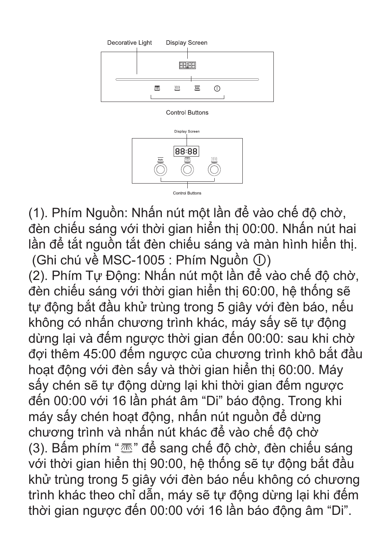

(1). Phím Nguồn: Nhấn nút một lần để vào chế độ chờ, đèn chiếu sáng với thời gian hiển thị 00:00. Nhấn nút hai lần để tắt nguồn tắt đèn chiếu sáng và màn hình hiển thị.  $(Ghi chú vè MSC-1005 : Phím Nguòn  $\textcircled{1})$$ (2). Phím Tự Động: Nhấn nút một lần để vào chế độ chờ, đèn chiếu sáng với thời gian hiển thị 60:00, hệ thống sẽ tự động bắt đầu khử trùng trong 5 giây với đèn báo, nếu không có nhấn chương trình khác, máy sấy sẽ tự động dừng lại và đếm ngược thời gian đến 00:00: sau khi chờ đợi thêm 45:00 đếm ngược của chương trình khô bắt đầu hoạt động với đèn sấy và thời gian hiển thị 60:00. Máy sấy chén sẽ tự động dừng lại khi thời gian đếm ngược đến 00:00 với 16 lần phát âm "Di" báo động. Trong khi máy sấy chén hoạt động, nhấn nút nguồn để dừng chương trình và nhấn nút khác để vào chế độ chờ (3). Bấm phím " $\mathbb{Z}$ " để sang chế độ chờ, đèn chiếu sáng với thời gian hiển thị 90:00, hệ thống sẽ tự động bắt đầu khử trùng trong 5 giây với đèn báo nếu không có chương trình khác theo chỉ dẫn, máy sẽ tự động dừng lại khi đếm thời gian ngược đến 00:00 với 16 lần báo động âm "Di".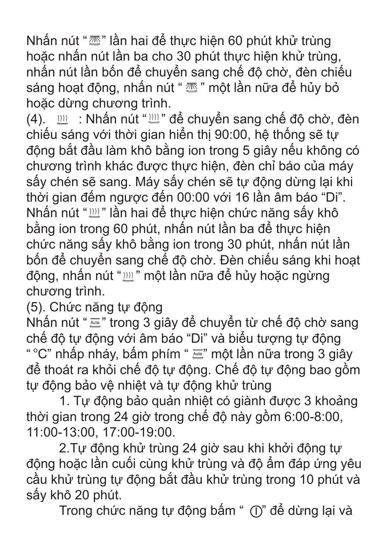Nhấn nút "<sup>"</sup> " lần hai để thực hiện 60 phút khử trùng hoặc nhấn nút lần ba cho 30 phút thực hiện khử trùng, nhấn nút lần bốn để chuyển sang chế độ chờ, đèn chiếu sáng hoạt động, nhấn nút "  $\overline{\mathbb{Z}}$ " một lần nữa để hủy bỏ hoặc dừng chương trình.

(4).  $\mathbb{I}$  : Nhấn nút " $\mathbb{I}$ " để chuyển sang chế độ chờ, đèn chiếu sáng với thời gian hiển thị 90:00, hệ thống sẽ tự động bắt đầu làm khô bằng ion trong 5 giây nếu không có chương trình khác được thực hiện, đèn chỉ báo của máy sấy chén sẽ sang. Máy sấy chén sẽ tự động dừng lại khi thời gian đếm ngược đến 00:00 với 16 lần âm báo "Di". Nhấn nút "
<sup>"</sup> lần hai để thực hiện chức năng sấy khô bằng ion trong 60 phút, nhấn nút lần ba để thực hiện chức năng sấy khô bằng ion trong 30 phút, nhấn nút lần bốn để chuyển sang chế độ chờ. Đèn chiếu sáng khi hoạt động, nhấn nút " " một lần nữa để hủy hoặc ngừng chương trình.

(5). Chức năng tự động

Nhấn nút "  $\overline{m}$ " trong 3 giây để chuyển từ chế độ chờ sang chế độ tự động với âm báo "Di" và biểu tượng tự động " °C" nhấp nháy, bấm phím " " một lần nữa trong 3 giây để thoát ra khỏi chế độ tự động. Chế độ tự động bao gồm tự động bảo vệ nhiệt và tự động khử trùng

 1. Tự động bảo quản nhiệt có giành được 3 khoảng thời gian trong 24 giờ trong chế độ này gồm 6:00-8:00, 11:00-13:00, 17:00-19:00.

 2.Tự động khử trùng 24 giờ sau khi khởi động tự động hoặc lần cuối cùng khử trùng và độ ẩm đáp ứng yêu cầu khử trùng tự động bắt đầu khử trùng trong 10 phút và sấy khô 20 phút.

Trong chức năng tự động bấm " (I)" để dừng lại và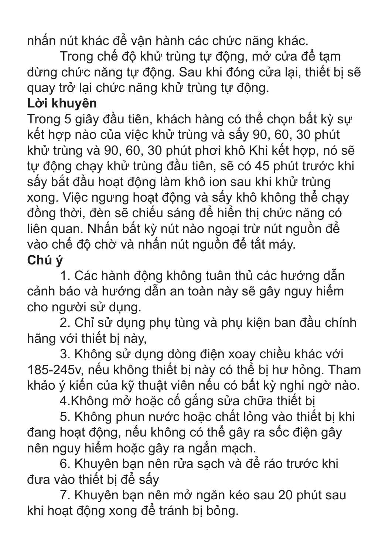nhấn nút khác để vận hành các chức năng khác.

 Trong chế độ khử trùng tự động, mở cửa để tạm dừng chức năng tự động. Sau khi đóng cửa lại, thiết bị sẽ quay trở lại chức năng khử trùng tự động.

### **Lời khuyên**

Trong 5 giây đầu tiên, khách hàng có thể chọn bất kỳ sự kết hợp nào của việc khử trùng và sấy 90, 60, 30 phút khử trùng và 90, 60, 30 phút phơi khô Khi kết hợp, nó sẽ tự động chạy khử trùng đầu tiên, sẽ có 45 phút trước khi sấy bắt đầu hoạt động làm khô ion sau khi khử trùng xong. Việc ngưng hoạt động và sấy khô không thể chạy đồng thời, đèn sẽ chiếu sáng để hiển thị chức năng có liên quan. Nhấn bất kỳ nút nào ngoại trừ nút nguồn để vào chế độ chờ và nhấn nút nguồn để tắt máy. **Chú ý**

 1. Các hành động không tuân thủ các hướng dẫn cảnh báo và hướng dẫn an toàn này sẽ gây nguy hiểm cho người sử dụng.

 2. Chỉ sử dụng phụ tùng và phụ kiện ban đầu chính hãng với thiết bị này,

 3. Không sử dụng dòng điện xoay chiều khác với 185-245v, nếu không thiết bị này có thể bị hư hỏng. Tham khảo ý kiến của kỹ thuật viên nếu có bất kỳ nghi ngờ nào.

4.Không mở hoặc cố gắng sửa chữa thiết bị

 5. Không phun nước hoặc chất lỏng vào thiết bị khi đang hoạt động, nếu không có thể gây ra sốc điện gây nên nguy hiểm hoặc gây ra ngắn mạch.

 6. Khuyên bạn nên rửa sạch và để ráo trước khi đưa vào thiết bị để sấy

 7. Khuyên bạn nên mở ngăn kéo sau 20 phút sau khi hoạt động xong để tránh bị bỏng.